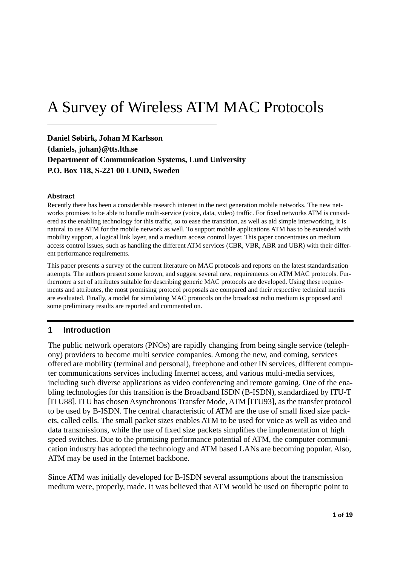# A Survey of Wireless ATM MAC Protocols

**Daniel Søbirk, Johan M Karlsson {daniels, johan}@tts.lth.se Department of Communication Systems, Lund University P.O. Box 118, S-221 00 LUND, Sweden**

#### **Abstract**

Recently there has been a considerable research interest in the next generation mobile networks. The new networks promises to be able to handle multi-service (voice, data, video) traffic. For fixed networks ATM is considered as the enabling technology for this traffic, so to ease the transition, as well as aid simple interworking, it is natural to use ATM for the mobile network as well. To support mobile applications ATM has to be extended with mobility support, a logical link layer, and a medium access control layer. This paper concentrates on medium access control issues, such as handling the different ATM services (CBR, VBR, ABR and UBR) with their different performance requirements.

This paper presents a survey of the current literature on MAC protocols and reports on the latest standardisation attempts. The authors present some known, and suggest several new, requirements on ATM MAC protocols. Furthermore a set of attributes suitable for describing generic MAC protocols are developed. Using these requirements and attributes, the most promising protocol proposals are compared and their respective technical merits are evaluated. Finally, a model for simulating MAC protocols on the broadcast radio medium is proposed and some preliminary results are reported and commented on.

#### **1 Introduction**

The public network operators (PNOs) are rapidly changing from being single service (telephony) providers to become multi service companies. Among the new, and coming, services offered are mobility (terminal and personal), freephone and other IN services, different computer communications services including Internet access, and various multi-media services, including such diverse applications as video conferencing and remote gaming. One of the enabling technologies for this transition is the Broadband ISDN (B-ISDN), standardized by ITU-T [ITU88]. ITU has chosen Asynchronous Transfer Mode, ATM [ITU93], as the transfer protocol to be used by B-ISDN. The central characteristic of ATM are the use of small fixed size packets, called cells. The small packet sizes enables ATM to be used for voice as well as video and data transmissions, while the use of fixed size packets simplifies the implementation of high speed switches. Due to the promising performance potential of ATM, the computer communication industry has adopted the technology and ATM based LANs are becoming popular. Also, ATM may be used in the Internet backbone.

Since ATM was initially developed for B-ISDN several assumptions about the transmission medium were, properly, made. It was believed that ATM would be used on fiberoptic point to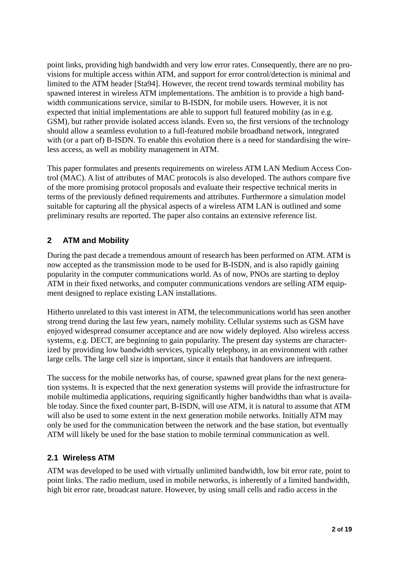<span id="page-1-0"></span>point links, providing high bandwidth and very low error rates. Consequently, there are no provisions for multiple access within ATM, and support for error control/detection is minimal and limited to the ATM header [Sta94]. However, the recent trend towards terminal mobility has spawned interest in wireless ATM implementations. The ambition is to provide a high bandwidth communications service, similar to B-ISDN, for mobile users. However, it is not expected that initial implementations are able to support full featured mobility (as in e.g. GSM), but rather provide isolated access islands. Even so, the first versions of the technology should allow a seamless evolution to a full-featured mobile broadband network, integrated with (or a part of) B-ISDN. To enable this evolution there is a need for standardising the wireless access, as well as mobility management in ATM.

This paper formulates and presents requirements on wireless ATM LAN Medium Access Control (MAC). A list of attributes of MAC protocols is also developed. The authors compare five of the more promising protocol proposals and evaluate their respective technical merits in terms of the previously defined requirements and attributes. Furthermore a simulation model suitable for capturing all the physical aspects of a wireless ATM LAN is outlined and some preliminary results are reported. The paper also contains an extensive reference list.

# **2 ATM and Mobility**

During the past decade a tremendous amount of research has been performed on ATM. ATM is now accepted as the transmission mode to be used for B-ISDN, and is also rapidly gaining popularity in the computer communications world. As of now, PNOs are starting to deploy ATM in their fixed networks, and computer communications vendors are selling ATM equipment designed to replace existing LAN installations.

Hitherto unrelated to this vast interest in ATM, the telecommunications world has seen another strong trend during the last few years, namely mobility. Cellular systems such as GSM have enjoyed widespread consumer acceptance and are now widely deployed. Also wireless access systems, e.g. DECT, are beginning to gain popularity. The present day systems are characterized by providing low bandwidth services, typically telephony, in an environment with rather large cells. The large cell size is important, since it entails that handovers are infrequent.

The success for the mobile networks has, of course, spawned great plans for the next generation systems. It is expected that the next generation systems will provide the infrastructure for mobile multimedia applications, requiring significantly higher bandwidths than what is available today. Since the fixed counter part, B-ISDN, will use ATM, it is natural to assume that ATM will also be used to some extent in the next generation mobile networks. Initially ATM may only be used for the communication between the network and the base station, but eventually ATM will likely be used for the base station to mobile terminal communication as well.

## **2.1 Wireless ATM**

ATM was developed to be used with virtually unlimited bandwidth, low bit error rate, point to point links. The radio medium, used in mobile networks, is inherently of a limited bandwidth, high bit error rate, broadcast nature. However, by using small cells and radio access in the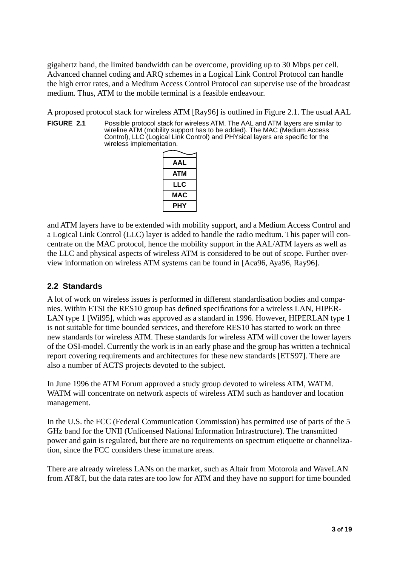<span id="page-2-0"></span>gigahertz band, the limited bandwidth can be overcome, providing up to 30 Mbps per cell. Advanced channel coding and ARQ schemes in a Logical Link Control Protocol can handle the high error rates, and a Medium Access Control Protocol can supervise use of the broadcast medium. Thus, ATM to the mobile terminal is a feasible endeavour.

A proposed protocol stack for wireless ATM [Ray96] is outlined in Figure 2.1. The usual AAL

**FIGURE 2.1** Possible protocol stack for wireless ATM. The AAL and ATM layers are similar to wireline ATM (mobility support has to be added). The MAC (Medium Access Control), LLC (Logical Link Control) and PHYsical layers are specific for the wireless implementation.



and ATM layers have to be extended with mobility support, and a Medium Access Control and a Logical Link Control (LLC) layer is added to handle the radio medium. This paper will concentrate on the MAC protocol, hence the mobility support in the AAL/ATM layers as well as the LLC and physical aspects of wireless ATM is considered to be out of scope. Further overview information on wireless ATM systems can be found in [Aca96, Aya96, Ray96].

## **2.2 Standards**

A lot of work on wireless issues is performed in different standardisation bodies and companies. Within ETSI the RES10 group has defined specifications for a wireless LAN, HIPER-LAN type 1 [Wil95], which was approved as a standard in 1996. However, HIPERLAN type 1 is not suitable for time bounded services, and therefore RES10 has started to work on three new standards for wireless ATM. These standards for wireless ATM will cover the lower layers of the OSI-model. Currently the work is in an early phase and the group has written a technical report covering requirements and architectures for these new standards [ETS97]. There are also a number of ACTS projects devoted to the subject.

In June 1996 the ATM Forum approved a study group devoted to wireless ATM, WATM. WATM will concentrate on network aspects of wireless ATM such as handover and location management.

In the U.S. the FCC (Federal Communication Commission) has permitted use of parts of the 5 GHz band for the UNII (Unlicensed National Information Infrastructure). The transmitted power and gain is regulated, but there are no requirements on spectrum etiquette or channelization, since the FCC considers these immature areas.

There are already wireless LANs on the market, such as Altair from Motorola and WaveLAN from AT&T, but the data rates are too low for ATM and they have no support for time bounded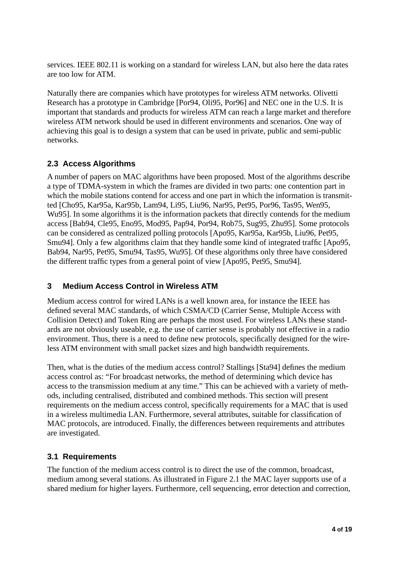services. IEEE 802.11 is working on a standard for wireless LAN, but also here the data rates are too low for ATM.

Naturally there are companies which have prototypes for wireless ATM networks. Olivetti Research has a prototype in Cambridge [Por94, Oli95, Por96] and NEC one in the U.S. It is important that standards and products for wireless ATM can reach a large market and therefore wireless ATM network should be used in different environments and scenarios. One way of achieving this goal is to design a system that can be used in private, public and semi-public networks.

# **2.3 Access Algorithms**

A number of papers on MAC algorithms have been proposed. Most of the algorithms describe a type of TDMA-system in which the frames are divided in two parts: one contention part in which the mobile stations contend for access and one part in which the information is transmitted [Cho95, Kar95a, Kar95b, Lam94, Li95, Liu96, Nar95, Pet95, Por96, Tas95, Wen95, Wu95]. In some algorithms it is the information packets that directly contends for the medium access [Bab94, Cle95, Eno95, Mod95, Pap94, Por94, Rob75, Sug95, Zhu95]. Some protocols can be considered as centralized polling protocols [Apo95, Kar95a, Kar95b, Liu96, Pet95, Smu94]. Only a few algorithms claim that they handle some kind of integrated traffic [Apo95, Bab94, Nar95, Pet95, Smu94, Tas95, Wu95]. Of these algorithms only three have considered the different traffic types from a general point of view [Apo95, Pet95, Smu94].

### **3 Medium Access Control in Wireless ATM**

Medium access control for wired LANs is a well known area, for instance the IEEE has defined several MAC standards, of which CSMA/CD (Carrier Sense, Multiple Access with Collision Detect) and Token Ring are perhaps the most used. For wireless LANs these standards are not obviously useable, e.g. the use of carrier sense is probably not effective in a radio environment. Thus, there is a need to define new protocols, specifically designed for the wireless ATM environment with small packet sizes and high bandwidth requirements.

Then, what is the duties of the medium access control? Stallings [Sta94] defines the medium access control as: "For broadcast networks, the method of determining which device has access to the transmission medium at any time." This can be achieved with a variety of methods, including centralised, distributed and combined methods. This section will present requirements on the medium access control, specifically requirements for a MAC that is used in a wireless multimedia LAN. Furthermore, several attributes, suitable for classification of MAC protocols, are introduced. Finally, the differences between requirements and attributes are investigated.

## **3.1 Requirements**

The function of the medium access control is to direct the use of the common, broadcast, medium among several stations. As illustrated in [Figure 2.1](#page-2-0) the MAC layer supports use of a shared medium for higher layers. Furthermore, cell sequencing, error detection and correction,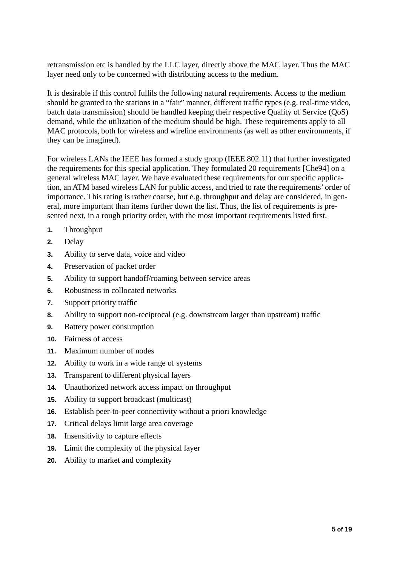retransmission etc is handled by the LLC layer, directly above the MAC layer. Thus the MAC layer need only to be concerned with distributing access to the medium.

It is desirable if this control fulfils the following natural requirements. Access to the medium should be granted to the stations in a "fair" manner, different traffic types (e.g. real-time video, batch data transmission) should be handled keeping their respective Quality of Service (QoS) demand, while the utilization of the medium should be high. These requirements apply to all MAC protocols, both for wireless and wireline environments (as well as other environments, if they can be imagined).

For wireless LANs the IEEE has formed a study group (IEEE 802.11) that further investigated the requirements for this special application. They formulated 20 requirements [Che94] on a general wireless MAC layer. We have evaluated these requirements for our specific application, an ATM based wireless LAN for public access, and tried to rate the requirements' order of importance. This rating is rather coarse, but e.g. throughput and delay are considered, in general, more important than items further down the list. Thus, the list of requirements is presented next, in a rough priority order, with the most important requirements listed first.

- **1.** Throughput
- **2.** Delay
- **3.** Ability to serve data, voice and video
- **4.** Preservation of packet order
- **5.** Ability to support handoff/roaming between service areas
- **6.** Robustness in collocated networks
- **7.** Support priority traffic
- **8.** Ability to support non-reciprocal (e.g. downstream larger than upstream) traffic
- **9.** Battery power consumption
- **10.** Fairness of access
- **11.** Maximum number of nodes
- **12.** Ability to work in a wide range of systems
- **13.** Transparent to different physical layers
- **14.** Unauthorized network access impact on throughput
- **15.** Ability to support broadcast (multicast)
- **16.** Establish peer-to-peer connectivity without a priori knowledge
- **17.** Critical delays limit large area coverage
- **18.** Insensitivity to capture effects
- **19.** Limit the complexity of the physical layer
- **20.** Ability to market and complexity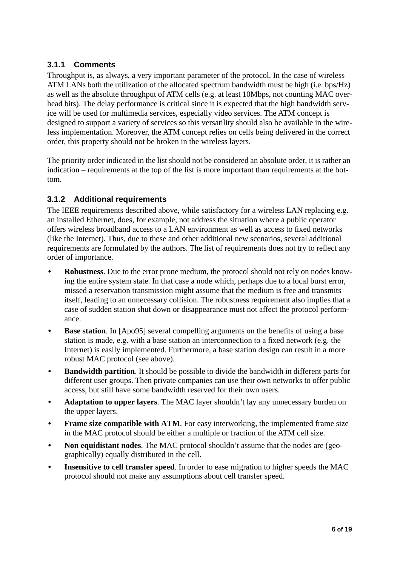## **3.1.1 Comments**

Throughput is, as always, a very important parameter of the protocol. In the case of wireless ATM LANs both the utilization of the allocated spectrum bandwidth must be high (i.e. bps/Hz) as well as the absolute throughput of ATM cells (e.g. at least 10Mbps, not counting MAC overhead bits). The delay performance is critical since it is expected that the high bandwidth service will be used for multimedia services, especially video services. The ATM concept is designed to support a variety of services so this versatility should also be available in the wireless implementation. Moreover, the ATM concept relies on cells being delivered in the correct order, this property should not be broken in the wireless layers.

The priority order indicated in the list should not be considered an absolute order, it is rather an indication – requirements at the top of the list is more important than requirements at the bottom.

# **3.1.2 Additional requirements**

The IEEE requirements described above, while satisfactory for a wireless LAN replacing e.g. an installed Ethernet, does, for example, not address the situation where a public operator offers wireless broadband access to a LAN environment as well as access to fixed networks (like the Internet). Thus, due to these and other additional new scenarios, several additional requirements are formulated by the authors. The list of requirements does not try to reflect any order of importance.

- **• Robustness**. Due to the error prone medium, the protocol should not rely on nodes knowing the entire system state. In that case a node which, perhaps due to a local burst error, missed a reservation transmission might assume that the medium is free and transmits itself, leading to an unnecessary collision. The robustness requirement also implies that a case of sudden station shut down or disappearance must not affect the protocol performance.
- **Base station**. In [Apo95] several compelling arguments on the benefits of using a base station is made, e.g. with a base station an interconnection to a fixed network (e.g. the Internet) is easily implemented. Furthermore, a base station design can result in a more robust MAC protocol (see above).
- **• Bandwidth partition**. It should be possible to divide the bandwidth in different parts for different user groups. Then private companies can use their own networks to offer public access, but still have some bandwidth reserved for their own users.
- **• Adaptation to upper layers**. The MAC layer shouldn't lay any unnecessary burden on the upper layers.
- **Frame size compatible with ATM**. For easy interworking, the implemented frame size in the MAC protocol should be either a multiple or fraction of the ATM cell size.
- **Non equidistant nodes**. The MAC protocol shouldn't assume that the nodes are (geographically) equally distributed in the cell.
- **• Insensitive to cell transfer speed**. In order to ease migration to higher speeds the MAC protocol should not make any assumptions about cell transfer speed.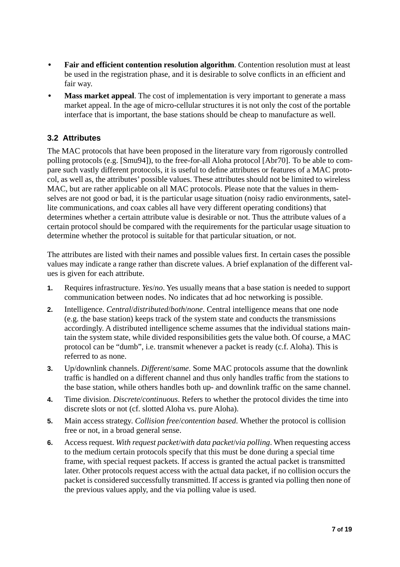- **• Fair and efficient contention resolution algorithm**. Contention resolution must at least be used in the registration phase, and it is desirable to solve conflicts in an efficient and fair way.
- **Mass market appeal**. The cost of implementation is very important to generate a mass market appeal. In the age of micro-cellular structures it is not only the cost of the portable interface that is important, the base stations should be cheap to manufacture as well.

### **3.2 Attributes**

The MAC protocols that have been proposed in the literature vary from rigorously controlled polling protocols (e.g. [Smu94]), to the free-for-all Aloha protocol [Abr70]. To be able to compare such vastly different protocols, it is useful to define attributes or features of a MAC protocol, as well as, the attributes' possible values. These attributes should not be limited to wireless MAC, but are rather applicable on all MAC protocols. Please note that the values in themselves are not good or bad, it is the particular usage situation (noisy radio environments, satellite communications, and coax cables all have very different operating conditions) that determines whether a certain attribute value is desirable or not. Thus the attribute values of a certain protocol should be compared with the requirements for the particular usage situation to determine whether the protocol is suitable for that particular situation, or not.

The attributes are listed with their names and possible values first. In certain cases the possible values may indicate a range rather than discrete values. A brief explanation of the different values is given for each attribute.

- **1.** Requires infrastructure. *Yes*/*no*. Yes usually means that a base station is needed to support communication between nodes. No indicates that ad hoc networking is possible.
- **2.** Intelligence. *Central*/*distributed*/*both*/*none*. Central intelligence means that one node (e.g. the base station) keeps track of the system state and conducts the transmissions accordingly. A distributed intelligence scheme assumes that the individual stations maintain the system state, while divided responsibilities gets the value both. Of course, a MAC protocol can be "dumb", i.e. transmit whenever a packet is ready (c.f. Aloha). This is referred to as none.
- **3.** Up/downlink channels. *Different*/*same*. Some MAC protocols assume that the downlink traffic is handled on a different channel and thus only handles traffic from the stations to the base station, while others handles both up- and downlink traffic on the same channel.
- **4.** Time division. *Discrete*/*continuous*. Refers to whether the protocol divides the time into discrete slots or not (cf. slotted Aloha vs. pure Aloha).
- **5.** Main access strategy. *Collision free*/*contention based*. Whether the protocol is collision free or not, in a broad general sense.
- **6.** Access request. *With request packet*/*with data packet*/*via polling*. When requesting access to the medium certain protocols specify that this must be done during a special time frame, with special request packets. If access is granted the actual packet is transmitted later. Other protocols request access with the actual data packet, if no collision occurs the packet is considered successfully transmitted. If access is granted via polling then none of the previous values apply, and the via polling value is used.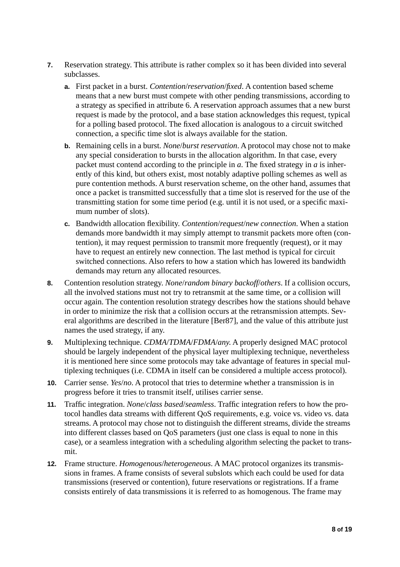- **7.** Reservation strategy. This attribute is rather complex so it has been divided into several subclasses.
	- **a.** First packet in a burst. *Contention*/*reservation*/*fixed*. A contention based scheme means that a new burst must compete with other pending transmissions, according to a strategy as specified in attribute 6. A reservation approach assumes that a new burst request is made by the protocol, and a base station acknowledges this request, typical for a polling based protocol. The fixed allocation is analogous to a circuit switched connection, a specific time slot is always available for the station.
	- **b.** Remaining cells in a burst. *None*/*burst reservation*. A protocol may chose not to make any special consideration to bursts in the allocation algorithm. In that case, every packet must contend according to the principle in *a*. The fixed strategy in *a* is inherently of this kind, but others exist, most notably adaptive polling schemes as well as pure contention methods. A burst reservation scheme, on the other hand, assumes that once a packet is transmitted successfully that a time slot is reserved for the use of the transmitting station for some time period (e.g. until it is not used, or a specific maximum number of slots).
	- **c.** Bandwidth allocation flexibility. *Contention*/*request*/*new connection*. When a station demands more bandwidth it may simply attempt to transmit packets more often (contention), it may request permission to transmit more frequently (request), or it may have to request an entirely new connection. The last method is typical for circuit switched connections. Also refers to how a station which has lowered its bandwidth demands may return any allocated resources.
- **8.** Contention resolution strategy. *None*/*random binary backoff*/*others*. If a collision occurs, all the involved stations must not try to retransmit at the same time, or a collision will occur again. The contention resolution strategy describes how the stations should behave in order to minimize the risk that a collision occurs at the retransmission attempts. Several algorithms are described in the literature [Ber87], and the value of this attribute just names the used strategy, if any.
- **9.** Multiplexing technique. *CDMA*/*TDMA*/*FDMA*/*any*. A properly designed MAC protocol should be largely independent of the physical layer multiplexing technique, nevertheless it is mentioned here since some protocols may take advantage of features in special multiplexing techniques (i.e. CDMA in itself can be considered a multiple access protocol).
- **10.** Carrier sense. *Yes*/*no*. A protocol that tries to determine whether a transmission is in progress before it tries to transmit itself, utilises carrier sense.
- **11.** Traffic integration. *None*/*class based*/*seamless*. Traffic integration refers to how the protocol handles data streams with different QoS requirements, e.g. voice vs. video vs. data streams. A protocol may chose not to distinguish the different streams, divide the streams into different classes based on QoS parameters (just one class is equal to none in this case), or a seamless integration with a scheduling algorithm selecting the packet to transmit.
- **12.** Frame structure. *Homogenous*/*heterogeneous*. A MAC protocol organizes its transmissions in frames. A frame consists of several subslots which each could be used for data transmissions (reserved or contention), future reservations or registrations. If a frame consists entirely of data transmissions it is referred to as homogenous. The frame may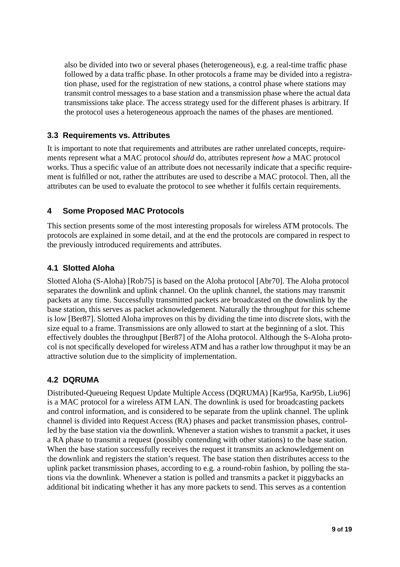also be divided into two or several phases (heterogeneous), e.g. a real-time traffic phase followed by a data traffic phase. In other protocols a frame may be divided into a registration phase, used for the registration of new stations, a control phase where stations may transmit control messages to a base station and a transmission phase where the actual data transmissions take place. The access strategy used for the different phases is arbitrary. If the protocol uses a heterogeneous approach the names of the phases are mentioned.

#### **3.3 Requirements vs. Attributes**

It is important to note that requirements and attributes are rather unrelated concepts, requirements represent what a MAC protocol *should* do, attributes represent *how* a MAC protocol works. Thus a specific value of an attribute does not necessarily indicate that a specific requirement is fulfilled or not, rather the attributes are used to describe a MAC protocol. Then, all the attributes can be used to evaluate the protocol to see whether it fulfils certain requirements.

#### **4 Some Proposed MAC Protocols**

This section presents some of the most interesting proposals for wireless ATM protocols. The protocols are explained in some detail, and at the end the protocols are compared in respect to the previously introduced requirements and attributes.

#### **4.1 Slotted Aloha**

Slotted Aloha (S-Aloha) [Rob75] is based on the Aloha protocol [Abr70]. The Aloha protocol separates the downlink and uplink channel. On the uplink channel, the stations may transmit packets at any time. Successfully transmitted packets are broadcasted on the downlink by the base station, this serves as packet acknowledgement. Naturally the throughput for this scheme is low [Ber87]. Slotted Aloha improves on this by dividing the time into discrete slots, with the size equal to a frame. Transmissions are only allowed to start at the beginning of a slot. This effectively doubles the throughput [Ber87] of the Aloha protocol. Although the S-Aloha protocol is not specifically developed for wireless ATM and has a rather low throughput it may be an attractive solution due to the simplicity of implementation.

## **4.2 DQRUMA**

Distributed-Queueing Request Update Multiple Access (DQRUMA) [Kar95a, Kar95b, Liu96] is a MAC protocol for a wireless ATM LAN. The downlink is used for broadcasting packets and control information, and is considered to be separate from the uplink channel. The uplink channel is divided into Request Access (RA) phases and packet transmission phases, controlled by the base station via the downlink. Whenever a station wishes to transmit a packet, it uses a RA phase to transmit a request (possibly contending with other stations) to the base station. When the base station successfully receives the request it transmits an acknowledgement on the downlink and registers the station's request. The base station then distributes access to the uplink packet transmission phases, according to e.g. a round-robin fashion, by polling the stations via the downlink. Whenever a station is polled and transmits a packet it piggybacks an additional bit indicating whether it has any more packets to send. This serves as a contention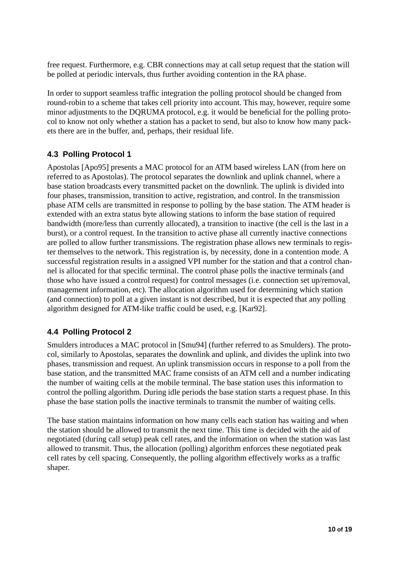free request. Furthermore, e.g. CBR connections may at call setup request that the station will be polled at periodic intervals, thus further avoiding contention in the RA phase.

In order to support seamless traffic integration the polling protocol should be changed from round-robin to a scheme that takes cell priority into account. This may, however, require some minor adjustments to the DQRUMA protocol, e.g. it would be beneficial for the polling protocol to know not only whether a station has a packet to send, but also to know how many packets there are in the buffer, and, perhaps, their residual life.

# **4.3 Polling Protocol 1**

Apostolas [Apo95] presents a MAC protocol for an ATM based wireless LAN (from here on referred to as Apostolas). The protocol separates the downlink and uplink channel, where a base station broadcasts every transmitted packet on the downlink. The uplink is divided into four phases, transmission, transition to active, registration, and control. In the transmission phase ATM cells are transmitted in response to polling by the base station. The ATM header is extended with an extra status byte allowing stations to inform the base station of required bandwidth (more/less than currently allocated), a transition to inactive (the cell is the last in a burst), or a control request. In the transition to active phase all currently inactive connections are polled to allow further transmissions. The registration phase allows new terminals to register themselves to the network. This registration is, by necessity, done in a contention mode. A successful registration results in a assigned VPI number for the station and that a control channel is allocated for that specific terminal. The control phase polls the inactive terminals (and those who have issued a control request) for control messages (i.e. connection set up/removal, management information, etc). The allocation algorithm used for determining which station (and connection) to poll at a given instant is not described, but it is expected that any polling algorithm designed for ATM-like traffic could be used, e.g. [Kar92].

## **4.4 Polling Protocol 2**

Smulders introduces a MAC protocol in [Smu94] (further referred to as Smulders). The protocol, similarly to Apostolas, separates the downlink and uplink, and divides the uplink into two phases, transmission and request. An uplink transmission occurs in response to a poll from the base station, and the transmitted MAC frame consists of an ATM cell and a number indicating the number of waiting cells at the mobile terminal. The base station uses this information to control the polling algorithm. During idle periods the base station starts a request phase. In this phase the base station polls the inactive terminals to transmit the number of waiting cells.

The base station maintains information on how many cells each station has waiting and when the station should be allowed to transmit the next time. This time is decided with the aid of negotiated (during call setup) peak cell rates, and the information on when the station was last allowed to transmit. Thus, the allocation (polling) algorithm enforces these negotiated peak cell rates by cell spacing. Consequently, the polling algorithm effectively works as a traffic shaper.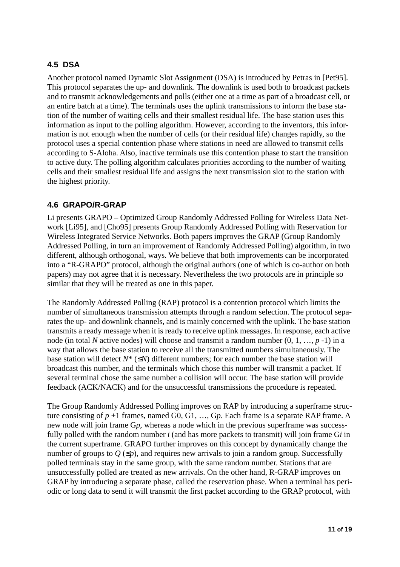## **4.5 DSA**

Another protocol named Dynamic Slot Assignment (DSA) is introduced by Petras in [Pet95]. This protocol separates the up- and downlink. The downlink is used both to broadcast packets and to transmit acknowledgements and polls (either one at a time as part of a broadcast cell, or an entire batch at a time). The terminals uses the uplink transmissions to inform the base station of the number of waiting cells and their smallest residual life. The base station uses this information as input to the polling algorithm. However, according to the inventors, this information is not enough when the number of cells (or their residual life) changes rapidly, so the protocol uses a special contention phase where stations in need are allowed to transmit cells according to S-Aloha. Also, inactive terminals use this contention phase to start the transition to active duty. The polling algorithm calculates priorities according to the number of waiting cells and their smallest residual life and assigns the next transmission slot to the station with the highest priority.

#### **4.6 GRAPO/R-GRAP**

Li presents GRAPO – Optimized Group Randomly Addressed Polling for Wireless Data Network [Li95], and [Cho95] presents Group Randomly Addressed Polling with Reservation for Wireless Integrated Service Networks. Both papers improves the GRAP (Group Randomly Addressed Polling, in turn an improvement of Randomly Addressed Polling) algorithm, in two different, although orthogonal, ways. We believe that both improvements can be incorporated into a "R-GRAPO" protocol, although the original authors (one of which is co-author on both papers) may not agree that it is necessary. Nevertheless the two protocols are in principle so similar that they will be treated as one in this paper.

The Randomly Addressed Polling (RAP) protocol is a contention protocol which limits the number of simultaneous transmission attempts through a random selection. The protocol separates the up- and downlink channels, and is mainly concerned with the uplink. The base station transmits a ready message when it is ready to receive uplink messages. In response, each active node (in total *N* active nodes) will choose and transmit a random number (0, 1, …, *p* -1) in a way that allows the base station to receive all the transmitted numbers simultaneously. The base station will detect  $N^*$  ( $\leq N$ ) different numbers; for each number the base station will broadcast this number, and the terminals which chose this number will transmit a packet. If several terminal chose the same number a collision will occur. The base station will provide feedback (ACK/NACK) and for the unsuccessful transmissions the procedure is repeated.

The Group Randomly Addressed Polling improves on RAP by introducing a superframe structure consisting of *p* +1 frames, named G0, G1, …, G*p*. Each frame is a separate RAP frame. A new node will join frame G*p*, whereas a node which in the previous superframe was successfully polled with the random number *i* (and has more packets to transmit) will join frame G*i* in the current superframe. GRAPO further improves on this concept by dynamically change the number of groups to  $O(\leq p)$ , and requires new arrivals to join a random group. Successfully polled terminals stay in the same group, with the same random number. Stations that are unsuccessfully polled are treated as new arrivals. On the other hand, R-GRAP improves on GRAP by introducing a separate phase, called the reservation phase. When a terminal has periodic or long data to send it will transmit the first packet according to the GRAP protocol, with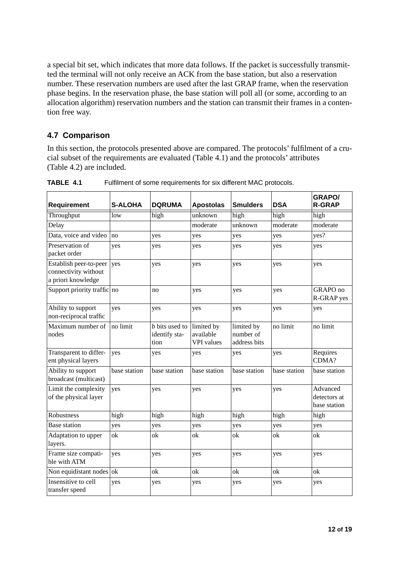a special bit set, which indicates that more data follows. If the packet is successfully transmitted the terminal will not only receive an ACK from the base station, but also a reservation number. These reservation numbers are used after the last GRAP frame, when the reservation phase begins. In the reservation phase, the base station will poll all (or some, according to an allocation algorithm) reservation numbers and the station can transmit their frames in a contention free way.

## **4.7 Comparison**

In this section, the protocols presented above are compared. The protocols' fulfilment of a crucial subset of the requirements are evaluated (Table 4.1) and the protocols' attributes [\(Table 4.2](#page-12-0)) are included.

| Requirement                                                          | <b>S-ALOHA</b> | <b>DQRUMA</b>                           | <b>Apostolas</b>                             | <b>Smulders</b>                         | <b>DSA</b>   | <b>GRAPO/</b><br><b>R-GRAP</b>           |
|----------------------------------------------------------------------|----------------|-----------------------------------------|----------------------------------------------|-----------------------------------------|--------------|------------------------------------------|
| Throughput                                                           | low            | high                                    | unknown                                      | high                                    | high         | high                                     |
| Delay                                                                |                |                                         | moderate                                     | unknown                                 | moderate     | moderate                                 |
| Data, voice and video                                                | no             | yes                                     | yes                                          | yes                                     | yes          | yes?                                     |
| Preservation of<br>packet order                                      | yes            | yes                                     | yes                                          | yes                                     | yes          | yes                                      |
| Establish peer-to-peer<br>connectivity without<br>a priori knowledge | yes            | yes                                     | yes                                          | yes                                     | yes          | yes                                      |
| Support priority traffic no                                          |                | no                                      | yes                                          | yes                                     | yes          | GRAPO no<br>R-GRAP yes                   |
| Ability to support<br>non-reciprocal traffic                         | yes            | yes                                     | yes                                          | yes                                     | yes          | yes                                      |
| Maximum number of<br>nodes                                           | no limit       | b bits used to<br>identify sta-<br>tion | limited by<br>available<br><b>VPI</b> values | limited by<br>number of<br>address bits | no limit     | no limit                                 |
| Transparent to differ-<br>ent physical layers                        | yes            | yes                                     | yes                                          | yes                                     | yes          | Requires<br>CDMA?                        |
| Ability to support<br>broadcast (multicast)                          | base station   | base station                            | base station                                 | base station                            | base station | base station                             |
| Limit the complexity<br>of the physical layer                        | yes            | yes                                     | yes                                          | yes                                     | yes          | Advanced<br>detectors at<br>base station |
| Robustness                                                           | high           | high                                    | high                                         | high                                    | high         | high                                     |
| <b>Base</b> station                                                  | yes            | yes                                     | yes                                          | yes                                     | yes          | yes                                      |
| Adaptation to upper<br>layers.                                       | ok             | ok                                      | ok                                           | ok                                      | ok           | ok                                       |
| Frame size compati-<br>ble with ATM                                  | yes            | yes                                     | yes                                          | yes                                     | yes          | yes                                      |
| Non equidistant nodes $\alpha$                                       |                | ok                                      | ok                                           | ok                                      | ok           | ok                                       |
| Insensitive to cell<br>transfer speed                                | yes            | yes                                     | yes                                          | yes                                     | yes          | yes                                      |

**TABLE 4.1** Fulfilment of some requirements for six different MAC protocols.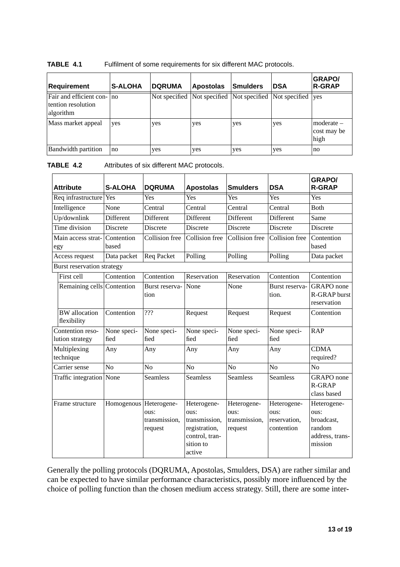| <b>Requirement</b>                                            | <b>S-ALOHA</b> | <b>DQRUMA</b> | <b>Apostolas</b>                                            | Smulders | <b>DSA</b> | <b>GRAPO/</b><br>$R$ -GRAP        |
|---------------------------------------------------------------|----------------|---------------|-------------------------------------------------------------|----------|------------|-----------------------------------|
| Fair and efficient con- no<br>tention resolution<br>algorithm |                |               | Not specified Not specified Not specified Not specified ves |          |            |                                   |
| Mass market appeal                                            | <b>ves</b>     | yes           | yes                                                         | yes      | yes        | moderate –<br>cost may be<br>high |
| Bandwidth partition                                           | no             | yes           | yes                                                         | yes      | yes        | no                                |

<span id="page-12-0"></span>**TABLE 4.1** Fulfilment of some requirements for six different MAC protocols.

| TABLE 4.2 | Attributes of six different MAC protocols. |  |
|-----------|--------------------------------------------|--|
|           |                                            |  |

| <b>Attribute</b>                    | <b>S-ALOHA</b>         | <b>DQRUMA</b>                    | <b>Apostolas</b>                                                                               | <b>Smulders</b>                                 | <b>DSA</b>                                        | <b>GRAPO/</b><br><b>R-GRAP</b>                                            |
|-------------------------------------|------------------------|----------------------------------|------------------------------------------------------------------------------------------------|-------------------------------------------------|---------------------------------------------------|---------------------------------------------------------------------------|
| Req infrastructure Yes              |                        | Yes                              | Yes                                                                                            | Yes                                             | Yes                                               | Yes                                                                       |
| Intelligence                        | None                   | Central                          | Central                                                                                        | Central                                         | Central                                           | <b>Both</b>                                                               |
| Up/downlink                         | Different              | Different                        | <b>Different</b>                                                                               | Different                                       | Different                                         | Same                                                                      |
| Time division                       | Discrete               | Discrete                         | Discrete                                                                                       | Discrete                                        | Discrete                                          | Discrete                                                                  |
| Main access strat-<br>egy           | Contention<br>based    | Collision free                   | Collision free                                                                                 | Collision free                                  | Collision free                                    | Contention<br>based                                                       |
| Access request                      | Data packet            | <b>Req Packet</b>                | Polling                                                                                        | Polling                                         | Polling                                           | Data packet                                                               |
| Burst reservation strategy          |                        |                                  |                                                                                                |                                                 |                                                   |                                                                           |
| First cell                          | Contention             | Contention                       | Reservation                                                                                    | Reservation                                     | Contention                                        | Contention                                                                |
| Remaining cells Contention          |                        | Burst reserva-<br>tion           | None                                                                                           | None                                            | Burst reserva-<br>tion.                           | <b>GRAPO</b> none<br>R-GRAP burst<br>reservation                          |
| <b>BW</b> allocation<br>flexibility | Contention             | ???                              | Request                                                                                        | Request                                         | Request                                           | Contention                                                                |
| Contention reso-<br>lution strategy | None speci-<br>fied    | None speci-<br>fied              | None speci-<br>fied                                                                            | None speci-<br>fied                             | None speci-<br>fied                               | <b>RAP</b>                                                                |
| Multiplexing<br>technique           | Any                    | Any                              | Any                                                                                            | Any                                             | Any                                               | <b>CDMA</b><br>required?                                                  |
| Carrier sense                       | N <sub>o</sub>         | N <sub>o</sub>                   | N <sub>o</sub>                                                                                 | N <sub>o</sub>                                  | N <sub>o</sub>                                    | N <sub>o</sub>                                                            |
| Traffic integration None            |                        | <b>Seamless</b>                  | <b>Seamless</b>                                                                                | <b>Seamless</b>                                 | <b>Seamless</b>                                   | <b>GRAPO</b> none<br><b>R-GRAP</b><br>class based                         |
| Frame structure                     | Homogenous Heterogene- | ous:<br>transmission,<br>request | Heterogene-<br>ous:<br>transmission,<br>registration,<br>control, tran-<br>sition to<br>active | Heterogene-<br>ous:<br>transmission,<br>request | Heterogene-<br>ous:<br>reservation,<br>contention | Heterogene-<br>ous:<br>broadcast,<br>random<br>address, trans-<br>mission |

Generally the polling protocols (DQRUMA, Apostolas, Smulders, DSA) are rather similar and can be expected to have similar performance characteristics, possibly more influenced by the choice of polling function than the chosen medium access strategy. Still, there are some inter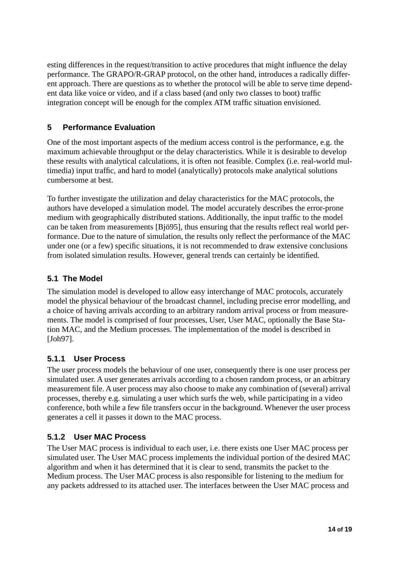esting differences in the request/transition to active procedures that might influence the delay performance. The GRAPO/R-GRAP protocol, on the other hand, introduces a radically different approach. There are questions as to whether the protocol will be able to serve time dependent data like voice or video, and if a class based (and only two classes to boot) traffic integration concept will be enough for the complex ATM traffic situation envisioned.

#### **5 Performance Evaluation**

One of the most important aspects of the medium access control is the performance, e.g. the maximum achievable throughput or the delay characteristics. While it is desirable to develop these results with analytical calculations, it is often not feasible. Complex (i.e. real-world multimedia) input traffic, and hard to model (analytically) protocols make analytical solutions cumbersome at best.

To further investigate the utilization and delay characteristics for the MAC protocols, the authors have developed a simulation model. The model accurately describes the error-prone medium with geographically distributed stations. Additionally, the input traffic to the model can be taken from measurements [Bjö95], thus ensuring that the results reflect real world performance. Due to the nature of simulation, the results only reflect the performance of the MAC under one (or a few) specific situations, it is not recommended to draw extensive conclusions from isolated simulation results. However, general trends can certainly be identified.

## **5.1 The Model**

The simulation model is developed to allow easy interchange of MAC protocols, accurately model the physical behaviour of the broadcast channel, including precise error modelling, and a choice of having arrivals according to an arbitrary random arrival process or from measurements. The model is comprised of four processes, User, User MAC, optionally the Base Station MAC, and the Medium processes. The implementation of the model is described in [Joh97].

#### **5.1.1 User Process**

The user process models the behaviour of one user, consequently there is one user process per simulated user. A user generates arrivals according to a chosen random process, or an arbitrary measurement file. A user process may also choose to make any combination of (several) arrival processes, thereby e.g. simulating a user which surfs the web, while participating in a video conference, both while a few file transfers occur in the background. Whenever the user process generates a cell it passes it down to the MAC process.

#### **5.1.2 User MAC Process**

The User MAC process is individual to each user, i.e. there exists one User MAC process per simulated user. The User MAC process implements the individual portion of the desired MAC algorithm and when it has determined that it is clear to send, transmits the packet to the Medium process. The User MAC process is also responsible for listening to the medium for any packets addressed to its attached user. The interfaces between the User MAC process and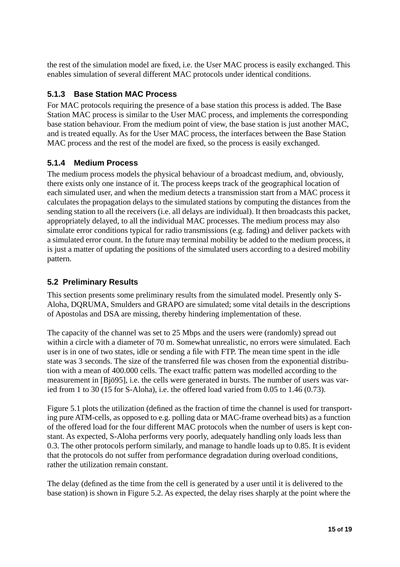the rest of the simulation model are fixed, i.e. the User MAC process is easily exchanged. This enables simulation of several different MAC protocols under identical conditions.

## **5.1.3 Base Station MAC Process**

For MAC protocols requiring the presence of a base station this process is added. The Base Station MAC process is similar to the User MAC process, and implements the corresponding base station behaviour. From the medium point of view, the base station is just another MAC, and is treated equally. As for the User MAC process, the interfaces between the Base Station MAC process and the rest of the model are fixed, so the process is easily exchanged.

#### **5.1.4 Medium Process**

The medium process models the physical behaviour of a broadcast medium, and, obviously, there exists only one instance of it. The process keeps track of the geographical location of each simulated user, and when the medium detects a transmission start from a MAC process it calculates the propagation delays to the simulated stations by computing the distances from the sending station to all the receivers (i.e. all delays are individual). It then broadcasts this packet, appropriately delayed, to all the individual MAC processes. The medium process may also simulate error conditions typical for radio transmissions (e.g. fading) and deliver packets with a simulated error count. In the future may terminal mobility be added to the medium process, it is just a matter of updating the positions of the simulated users according to a desired mobility pattern.

#### **5.2 Preliminary Results**

This section presents some preliminary results from the simulated model. Presently only S-Aloha, DQRUMA, Smulders and GRAPO are simulated; some vital details in the descriptions of Apostolas and DSA are missing, thereby hindering implementation of these.

The capacity of the channel was set to 25 Mbps and the users were (randomly) spread out within a circle with a diameter of 70 m. Somewhat unrealistic, no errors were simulated. Each user is in one of two states, idle or sending a file with FTP. The mean time spent in the idle state was 3 seconds. The size of the transferred file was chosen from the exponential distribution with a mean of 400.000 cells. The exact traffic pattern was modelled according to the measurement in [Bjö95], i.e. the cells were generated in bursts. The number of users was varied from 1 to 30 (15 for S-Aloha), i.e. the offered load varied from 0.05 to 1.46 (0.73).

[Figure 5.1](#page-15-0) plots the utilization (defined as the fraction of time the channel is used for transporting pure ATM-cells, as opposed to e.g. polling data or MAC-frame overhead bits) as a function of the offered load for the four different MAC protocols when the number of users is kept constant. As expected, S-Aloha performs very poorly, adequately handling only loads less than 0.3. The other protocols perform similarly, and manage to handle loads up to 0.85. It is evident that the protocols do not suffer from performance degradation during overload conditions, rather the utilization remain constant.

The delay (defined as the time from the cell is generated by a user until it is delivered to the base station) is shown in [Figure 5.2](#page-15-0). As expected, the delay rises sharply at the point where the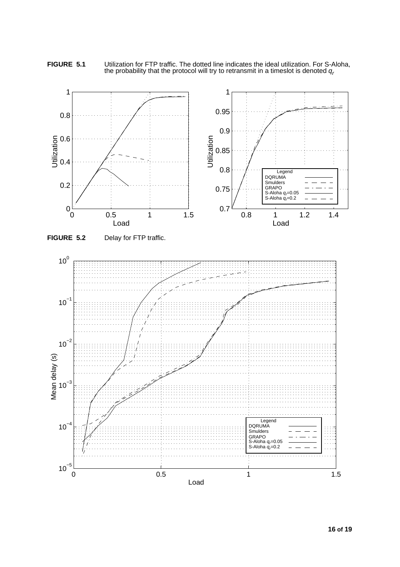<span id="page-15-0"></span>**FIGURE 5.1** Utilization for FTP traffic. The dotted line indicates the ideal utilization. For S-Aloha, the probability that the protocol will try to retransmit in a timeslot is denoted  $q_r$ 

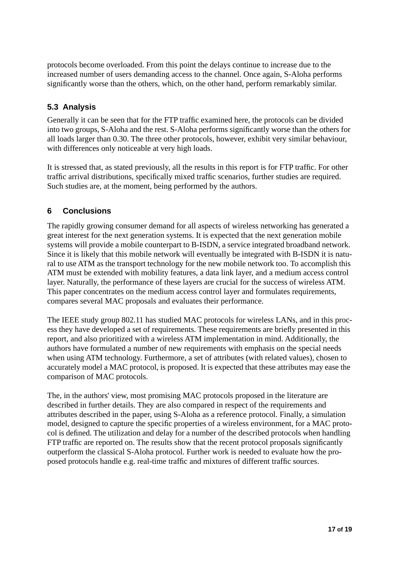protocols become overloaded. From this point the delays continue to increase due to the increased number of users demanding access to the channel. Once again, S-Aloha performs significantly worse than the others, which, on the other hand, perform remarkably similar.

### **5.3 Analysis**

Generally it can be seen that for the FTP traffic examined here, the protocols can be divided into two groups, S-Aloha and the rest. S-Aloha performs significantly worse than the others for all loads larger than 0.30. The three other protocols, however, exhibit very similar behaviour, with differences only noticeable at very high loads.

It is stressed that, as stated previously, all the results in this report is for FTP traffic. For other traffic arrival distributions, specifically mixed traffic scenarios, further studies are required. Such studies are, at the moment, being performed by the authors.

#### **6 Conclusions**

The rapidly growing consumer demand for all aspects of wireless networking has generated a great interest for the next generation systems. It is expected that the next generation mobile systems will provide a mobile counterpart to B-ISDN, a service integrated broadband network. Since it is likely that this mobile network will eventually be integrated with B-ISDN it is natural to use ATM as the transport technology for the new mobile network too. To accomplish this ATM must be extended with mobility features, a data link layer, and a medium access control layer. Naturally, the performance of these layers are crucial for the success of wireless ATM. This paper concentrates on the medium access control layer and formulates requirements, compares several MAC proposals and evaluates their performance.

The IEEE study group 802.11 has studied MAC protocols for wireless LANs, and in this process they have developed a set of requirements. These requirements are briefly presented in this report, and also prioritized with a wireless ATM implementation in mind. Additionally, the authors have formulated a number of new requirements with emphasis on the special needs when using ATM technology. Furthermore, a set of attributes (with related values), chosen to accurately model a MAC protocol, is proposed. It is expected that these attributes may ease the comparison of MAC protocols.

The, in the authors' view, most promising MAC protocols proposed in the literature are described in further details. They are also compared in respect of the requirements and attributes described in the paper, using S-Aloha as a reference protocol. Finally, a simulation model, designed to capture the specific properties of a wireless environment, for a MAC protocol is defined. The utilization and delay for a number of the described protocols when handling FTP traffic are reported on. The results show that the recent protocol proposals significantly outperform the classical S-Aloha protocol. Further work is needed to evaluate how the proposed protocols handle e.g. real-time traffic and mixtures of different traffic sources.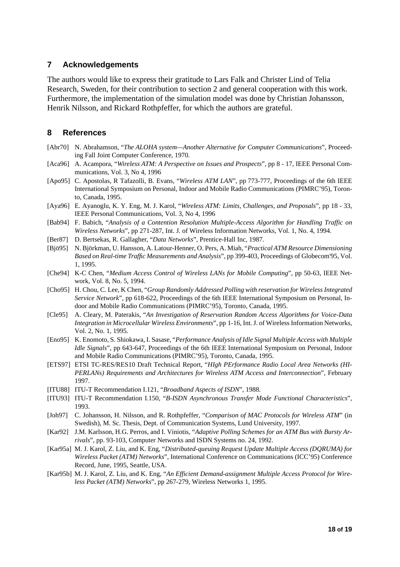#### **7 Acknowledgements**

The authors would like to express their gratitude to Lars Falk and Christer Lind of Telia Research, Sweden, for their contribution to section [2](#page-1-0) and general cooperation with this work. Furthermore, the implementation of the simulation model was done by Christian Johansson, Henrik Nilsson, and Rickard Rothpfeffer, for which the authors are grateful.

#### **8 References**

- [Abr70] N. Abrahamson, "*The ALOHA system—Another Alternative for Computer Communications*", Proceeding Fall Joint Computer Conference, 1970.
- [Aca96] A. Acampora, "*Wireless ATM: A Perspective on Issues and Prospects*", pp 8 17, IEEE Personal Communications, Vol. 3, No 4, 1996
- [Apo95] C. Apostolas, R Tafazolli, B. Evans, "*Wireless ATM LAN*"*,* pp 773-777, Proceedings of the 6th IEEE International Symposium on Personal, Indoor and Mobile Radio Communications (PIMRC'95), Toronto, Canada, 1995.
- [Aya96] E. Ayanoglu, K. Y. Eng, M. J. Karol, "*Wireless ATM: Limits, Challenges, and Proposals*", pp 18 33, IEEE Personal Communications, Vol. 3, No 4, 1996
- [Bab94] F. Babich, "*Analysis of a Contention Resolution Multiple-Access Algorithm for Handling Traffic on Wireless Networks*", pp 271-287, Int. J. of Wireless Information Networks, Vol. 1, No. 4, 1994.
- [Ber87] D. Bertsekas, R. Gallagher, "*Data Networks*", Prentice-Hall Inc, 1987.
- [Bjö95] N. Björkman, U. Hansson, A. Latour-Henner, O. Pers, A. Miah, "*Practical ATM Resource Dimensioning Based on Real-time Traffic Measurements and Analysis*", pp 399-403, Proceedings of Globecom'95, Vol. 1, 1995.
- [Che94] K-C Chen, "*Medium Access Control of Wireless LANs for Mobile Computing*", pp 50-63, IEEE Network, Vol. 8, No. 5, 1994.
- [Cho95] H. Chou, C. Lee, K Chen, "*Group Randomly Addressed Polling with reservation for Wireless Integrated Service Network*", pp 618-622, Proceedings of the 6th IEEE International Symposium on Personal, Indoor and Mobile Radio Communications (PIMRC'95), Toronto, Canada, 1995.
- [Cle95] A. Cleary, M. Paterakis, "*An Investigation of Reservation Random Access Algorithms for Voice-Data Integration in Microcellular Wireless Environments*", pp 1-16*,* Int. J. of Wireless Information Networks, Vol. 2, No. 1, 1995.
- [Eno95] K. Enomoto, S. Shiokawa, I. Sasase, "*Performance Analysis of Idle Signal Multiple Access with Multiple Idle Signals*", pp 643-647, Proceedings of the 6th IEEE International Symposium on Personal, Indoor and Mobile Radio Communications (PIMRC'95), Toronto, Canada, 1995.
- [ETS97] ETSI TC-RES/RES10 Draft Technical Report, "*HIgh PErformance Radio Local Area Networks (HI-PERLANs) Requirements and Architectures for Wireless ATM Access and Interconnection*", February 1997.
- [ITU88] ITU-T Recommendation I.121, "*Broadband Aspects of ISDN*", 1988.
- [ITU93] ITU-T Recommendation I.150, "*B-ISDN Asynchronous Transfer Mode Functional Characteristics*", 1993.
- [Joh97] C. Johansson, H. Nilsson, and R. Rothpfeffer, "*Comparison of MAC Protocols for Wireless ATM*" (in Swedish), M. Sc. Thesis, Dept. of Communication Systems, Lund University, 1997.
- [Kar92] J.M. Karlsson, H.G. Perros, and I. Viniotis, "*Adaptive Polling Schemes for an ATM Bus with Bursty Arrivals*", pp. 93-103, Computer Networks and ISDN Systems no. 24, 1992.
- [Kar95a] M. J. Karol, Z. Liu, and K. Eng, "*Distributed-queuing Request Update Multiple Access (DQRUMA) for Wireless Packet (ATM) Networks*", International Conference on Communications (ICC'95) Conference Record, June, 1995, Seattle, USA.
- [Kar95b] M. J. Karol, Z. Liu, and K. Eng, "*An Efficient Demand-assignment Multiple Access Protocol for Wireless Packet (ATM) Networks*", pp 267-279, Wireless Networks 1, 1995.